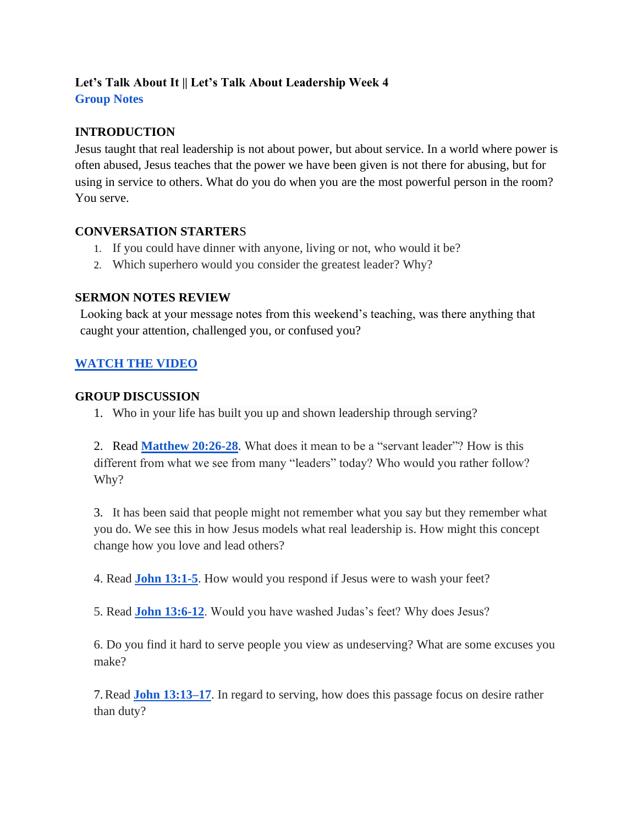# **Let's Talk About It || Let's Talk About Leadership Week 4 Group Notes**

# **INTRODUCTION**

Jesus taught that real leadership is not about power, but about service. In a world where power is often abused, Jesus teaches that the power we have been given is not there for abusing, but for using in service to others. What do you do when you are the most powerful person in the room? You serve.

## **CONVERSATION STARTER**S

- 1. If you could have dinner with anyone, living or not, who would it be?
- 2. Which superhero would you consider the greatest leader? Why?

## **SERMON NOTES REVIEW**

Looking back at your message notes from this weekend's teaching, was there anything that caught your attention, challenged you, or confused you?

# **[WATCH THE VIDEO](https://youtu.be/a9-DUBWo3Kw)**

#### **GROUP DISCUSSION**

1. Who in your life has built you up and shown leadership through serving?

2. Rea[d](https://www.biblegateway.com/passage/?search=PHILIPPIANS+4%3A11-13&version=NIV) **[Matthew 20:26-28](https://www.biblegateway.com/passage/?search=Matthew%2020%3A26-28&version=NIV)**. What does it mean to be a "servant leader"? How is this different from what we see from many "leaders" today? Who would you rather follow? Why?

3. It has been said that people might not remember what you say but they remember what you do. We see this in how Jesus models what real leadership is. How might this concept change how you love and lead others?

4. Read **[John 13:1-5](https://www.biblegateway.com/passage/?search=John+13%3A1-5&version=NIV)**. How would you respond if Jesus were to wash your feet?

5. Read **[John 13:6-12](https://www.biblegateway.com/passage/?search=John+13%3A6-12&version=NIV)**. Would you have washed Judas's feet? Why does Jesus?

6. Do you find it hard to serve people you view as undeserving? What are some excuses you make?

7.Read **[John 13:13–17](https://www.biblegateway.com/passage/?search=John+13%3A13%E2%80%9317&version=NIV)**. In regard to serving, how does this passage focus on desire rather than duty?